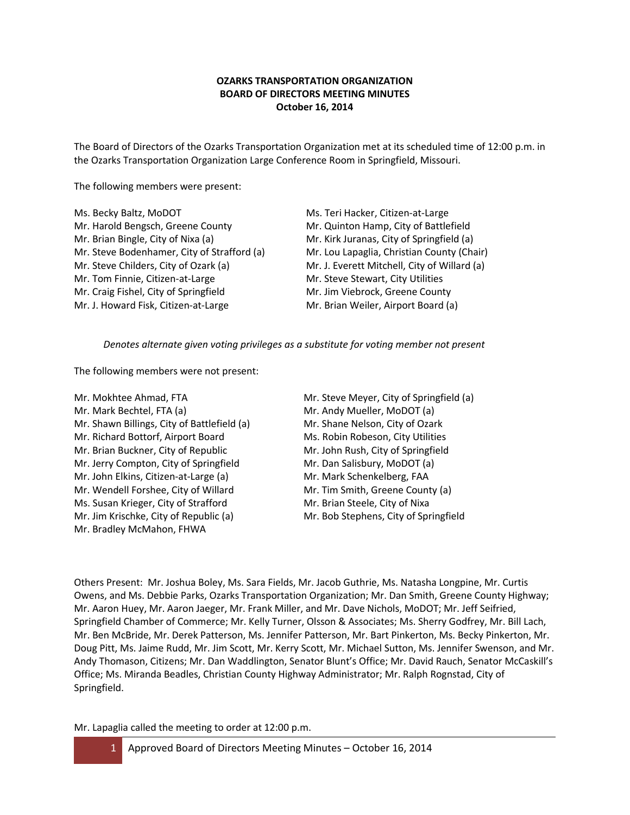# **OZARKS TRANSPORTATION ORGANIZATION BOARD OF DIRECTORS MEETING MINUTES October 16, 2014**

The Board of Directors of the Ozarks Transportation Organization met at its scheduled time of 12:00 p.m. in the Ozarks Transportation Organization Large Conference Room in Springfield, Missouri.

The following members were present:

| Ms. Becky Baltz, MoDOT                      | Ms. Teri Hacker, Citizen-at-Large            |
|---------------------------------------------|----------------------------------------------|
| Mr. Harold Bengsch, Greene County           | Mr. Quinton Hamp, City of Battlefield        |
| Mr. Brian Bingle, City of Nixa (a)          | Mr. Kirk Juranas, City of Springfield (a)    |
| Mr. Steve Bodenhamer, City of Strafford (a) | Mr. Lou Lapaglia, Christian County (Chair)   |
| Mr. Steve Childers, City of Ozark (a)       | Mr. J. Everett Mitchell, City of Willard (a) |
| Mr. Tom Finnie, Citizen-at-Large            | Mr. Steve Stewart, City Utilities            |
| Mr. Craig Fishel, City of Springfield       | Mr. Jim Viebrock, Greene County              |
| Mr. J. Howard Fisk, Citizen-at-Large        | Mr. Brian Weiler, Airport Board (a)          |
|                                             |                                              |

*Denotes alternate given voting privileges as a substitute for voting member not present*

The following members were not present:

- Mr. Mokhtee Ahmad, FTA Mr. Steve Meyer, City of Springfield (a) Mr. Mark Bechtel, FTA (a) Mr. Andy Mueller, MoDOT (a) Mr. Shawn Billings, City of Battlefield (a) Mr. Shane Nelson, City of Ozark Mr. Richard Bottorf, Airport Board Ms. Robin Robeson, City Utilities Mr. Brian Buckner, City of Republic Mr. John Rush, City of Springfield Mr. Jerry Compton, City of Springfield Mr. Dan Salisbury, MoDOT (a) Mr. John Elkins, Citizen-at-Large (a) Mr. Mark Schenkelberg, FAA Mr. Wendell Forshee, City of Willard Mr. Tim Smith, Greene County (a) Ms. Susan Krieger, City of Strafford Mr. Brian Steele, City of Nixa Mr. Jim Krischke, City of Republic (a) Mr. Bob Stephens, City of Springfield Mr. Bradley McMahon, FHWA
- 

Others Present: Mr. Joshua Boley, Ms. Sara Fields, Mr. Jacob Guthrie, Ms. Natasha Longpine, Mr. Curtis Owens, and Ms. Debbie Parks, Ozarks Transportation Organization; Mr. Dan Smith, Greene County Highway; Mr. Aaron Huey, Mr. Aaron Jaeger, Mr. Frank Miller, and Mr. Dave Nichols, MoDOT; Mr. Jeff Seifried, Springfield Chamber of Commerce; Mr. Kelly Turner, Olsson & Associates; Ms. Sherry Godfrey, Mr. Bill Lach, Mr. Ben McBride, Mr. Derek Patterson, Ms. Jennifer Patterson, Mr. Bart Pinkerton, Ms. Becky Pinkerton, Mr. Doug Pitt, Ms. Jaime Rudd, Mr. Jim Scott, Mr. Kerry Scott, Mr. Michael Sutton, Ms. Jennifer Swenson, and Mr. Andy Thomason, Citizens; Mr. Dan Waddlington, Senator Blunt's Office; Mr. David Rauch, Senator McCaskill's Office; Ms. Miranda Beadles, Christian County Highway Administrator; Mr. Ralph Rognstad, City of Springfield.

Mr. Lapaglia called the meeting to order at 12:00 p.m.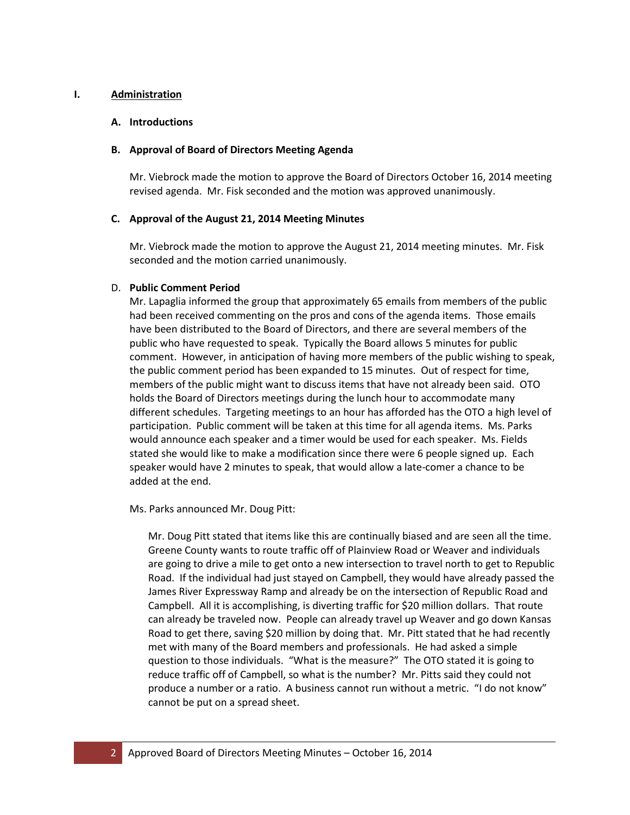## **I. Administration**

## **A. Introductions**

## **B. Approval of Board of Directors Meeting Agenda**

Mr. Viebrock made the motion to approve the Board of Directors October 16, 2014 meeting revised agenda. Mr. Fisk seconded and the motion was approved unanimously.

## **C. Approval of the August 21, 2014 Meeting Minutes**

Mr. Viebrock made the motion to approve the August 21, 2014 meeting minutes. Mr. Fisk seconded and the motion carried unanimously.

## D. **Public Comment Period**

Mr. Lapaglia informed the group that approximately 65 emails from members of the public had been received commenting on the pros and cons of the agenda items. Those emails have been distributed to the Board of Directors, and there are several members of the public who have requested to speak. Typically the Board allows 5 minutes for public comment. However, in anticipation of having more members of the public wishing to speak, the public comment period has been expanded to 15 minutes. Out of respect for time, members of the public might want to discuss items that have not already been said. OTO holds the Board of Directors meetings during the lunch hour to accommodate many different schedules. Targeting meetings to an hour has afforded has the OTO a high level of participation. Public comment will be taken at this time for all agenda items. Ms. Parks would announce each speaker and a timer would be used for each speaker. Ms. Fields stated she would like to make a modification since there were 6 people signed up. Each speaker would have 2 minutes to speak, that would allow a late-comer a chance to be added at the end.

Ms. Parks announced Mr. Doug Pitt:

Mr. Doug Pitt stated that items like this are continually biased and are seen all the time. Greene County wants to route traffic off of Plainview Road or Weaver and individuals are going to drive a mile to get onto a new intersection to travel north to get to Republic Road. If the individual had just stayed on Campbell, they would have already passed the James River Expressway Ramp and already be on the intersection of Republic Road and Campbell. All it is accomplishing, is diverting traffic for \$20 million dollars. That route can already be traveled now. People can already travel up Weaver and go down Kansas Road to get there, saving \$20 million by doing that. Mr. Pitt stated that he had recently met with many of the Board members and professionals. He had asked a simple question to those individuals. "What is the measure?" The OTO stated it is going to reduce traffic off of Campbell, so what is the number? Mr. Pitts said they could not produce a number or a ratio. A business cannot run without a metric. "I do not know" cannot be put on a spread sheet.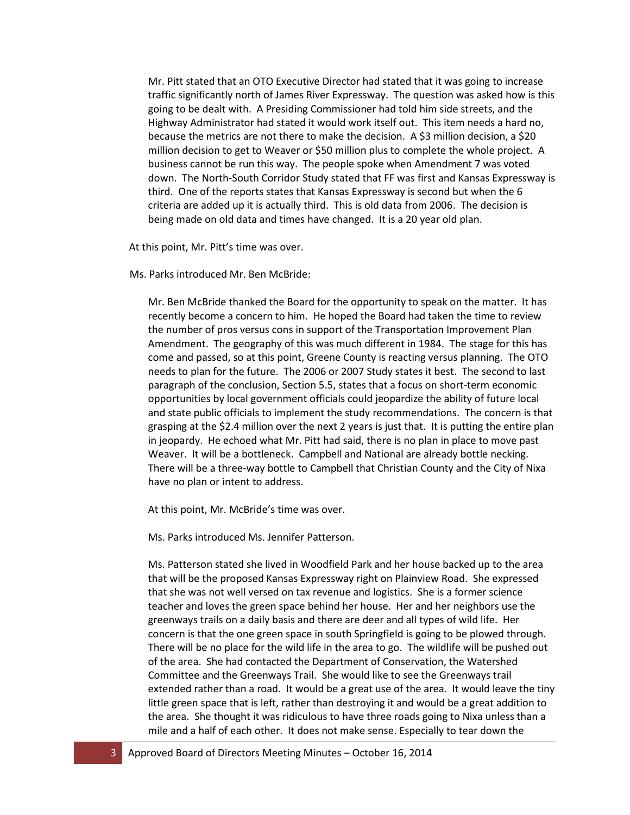Mr. Pitt stated that an OTO Executive Director had stated that it was going to increase traffic significantly north of James River Expressway. The question was asked how is this going to be dealt with. A Presiding Commissioner had told him side streets, and the Highway Administrator had stated it would work itself out. This item needs a hard no, because the metrics are not there to make the decision. A \$3 million decision, a \$20 million decision to get to Weaver or \$50 million plus to complete the whole project. A business cannot be run this way. The people spoke when Amendment 7 was voted down. The North-South Corridor Study stated that FF was first and Kansas Expressway is third. One of the reports states that Kansas Expressway is second but when the 6 criteria are added up it is actually third. This is old data from 2006. The decision is being made on old data and times have changed. It is a 20 year old plan.

At this point, Mr. Pitt's time was over.

Ms. Parks introduced Mr. Ben McBride:

Mr. Ben McBride thanked the Board for the opportunity to speak on the matter. It has recently become a concern to him. He hoped the Board had taken the time to review the number of pros versus cons in support of the Transportation Improvement Plan Amendment. The geography of this was much different in 1984. The stage for this has come and passed, so at this point, Greene County is reacting versus planning. The OTO needs to plan for the future. The 2006 or 2007 Study states it best. The second to last paragraph of the conclusion, Section 5.5, states that a focus on short-term economic opportunities by local government officials could jeopardize the ability of future local and state public officials to implement the study recommendations. The concern is that grasping at the \$2.4 million over the next 2 years is just that. It is putting the entire plan in jeopardy. He echoed what Mr. Pitt had said, there is no plan in place to move past Weaver. It will be a bottleneck. Campbell and National are already bottle necking. There will be a three-way bottle to Campbell that Christian County and the City of Nixa have no plan or intent to address.

At this point, Mr. McBride's time was over.

Ms. Parks introduced Ms. Jennifer Patterson.

Ms. Patterson stated she lived in Woodfield Park and her house backed up to the area that will be the proposed Kansas Expressway right on Plainview Road. She expressed that she was not well versed on tax revenue and logistics. She is a former science teacher and loves the green space behind her house. Her and her neighbors use the greenways trails on a daily basis and there are deer and all types of wild life. Her concern is that the one green space in south Springfield is going to be plowed through. There will be no place for the wild life in the area to go. The wildlife will be pushed out of the area. She had contacted the Department of Conservation, the Watershed Committee and the Greenways Trail. She would like to see the Greenways trail extended rather than a road. It would be a great use of the area. It would leave the tiny little green space that is left, rather than destroying it and would be a great addition to the area. She thought it was ridiculous to have three roads going to Nixa unless than a mile and a half of each other. It does not make sense. Especially to tear down the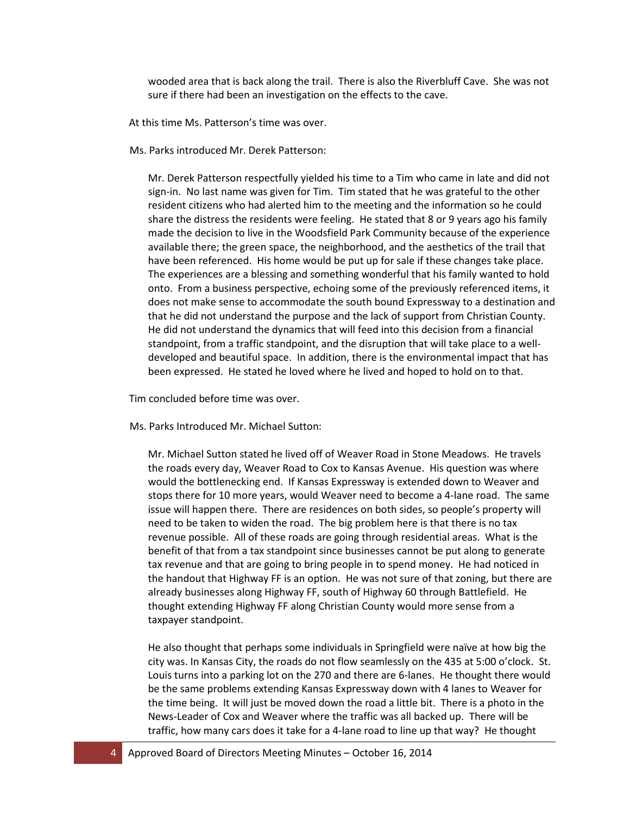wooded area that is back along the trail. There is also the Riverbluff Cave. She was not sure if there had been an investigation on the effects to the cave.

At this time Ms. Patterson's time was over.

Ms. Parks introduced Mr. Derek Patterson:

Mr. Derek Patterson respectfully yielded his time to a Tim who came in late and did not sign-in. No last name was given for Tim. Tim stated that he was grateful to the other resident citizens who had alerted him to the meeting and the information so he could share the distress the residents were feeling. He stated that 8 or 9 years ago his family made the decision to live in the Woodsfield Park Community because of the experience available there; the green space, the neighborhood, and the aesthetics of the trail that have been referenced. His home would be put up for sale if these changes take place. The experiences are a blessing and something wonderful that his family wanted to hold onto. From a business perspective, echoing some of the previously referenced items, it does not make sense to accommodate the south bound Expressway to a destination and that he did not understand the purpose and the lack of support from Christian County. He did not understand the dynamics that will feed into this decision from a financial standpoint, from a traffic standpoint, and the disruption that will take place to a welldeveloped and beautiful space. In addition, there is the environmental impact that has been expressed. He stated he loved where he lived and hoped to hold on to that.

Tim concluded before time was over.

Ms. Parks Introduced Mr. Michael Sutton:

Mr. Michael Sutton stated he lived off of Weaver Road in Stone Meadows. He travels the roads every day, Weaver Road to Cox to Kansas Avenue. His question was where would the bottlenecking end. If Kansas Expressway is extended down to Weaver and stops there for 10 more years, would Weaver need to become a 4-lane road. The same issue will happen there. There are residences on both sides, so people's property will need to be taken to widen the road. The big problem here is that there is no tax revenue possible. All of these roads are going through residential areas. What is the benefit of that from a tax standpoint since businesses cannot be put along to generate tax revenue and that are going to bring people in to spend money. He had noticed in the handout that Highway FF is an option. He was not sure of that zoning, but there are already businesses along Highway FF, south of Highway 60 through Battlefield. He thought extending Highway FF along Christian County would more sense from a taxpayer standpoint.

He also thought that perhaps some individuals in Springfield were naïve at how big the city was. In Kansas City, the roads do not flow seamlessly on the 435 at 5:00 o'clock. St. Louis turns into a parking lot on the 270 and there are 6-lanes. He thought there would be the same problems extending Kansas Expressway down with 4 lanes to Weaver for the time being. It will just be moved down the road a little bit. There is a photo in the News-Leader of Cox and Weaver where the traffic was all backed up. There will be traffic, how many cars does it take for a 4-lane road to line up that way? He thought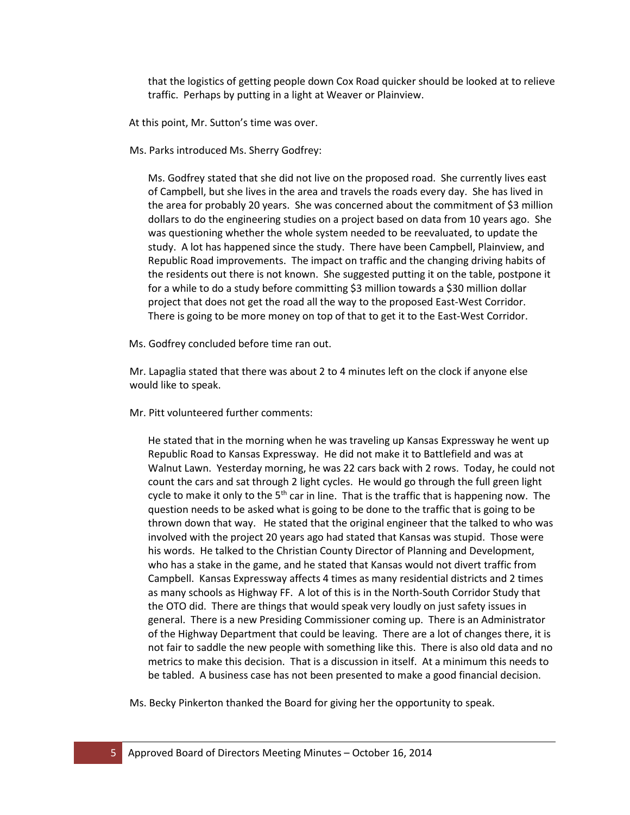that the logistics of getting people down Cox Road quicker should be looked at to relieve traffic. Perhaps by putting in a light at Weaver or Plainview.

At this point, Mr. Sutton's time was over.

Ms. Parks introduced Ms. Sherry Godfrey:

Ms. Godfrey stated that she did not live on the proposed road. She currently lives east of Campbell, but she lives in the area and travels the roads every day. She has lived in the area for probably 20 years. She was concerned about the commitment of \$3 million dollars to do the engineering studies on a project based on data from 10 years ago. She was questioning whether the whole system needed to be reevaluated, to update the study. A lot has happened since the study. There have been Campbell, Plainview, and Republic Road improvements. The impact on traffic and the changing driving habits of the residents out there is not known. She suggested putting it on the table, postpone it for a while to do a study before committing \$3 million towards a \$30 million dollar project that does not get the road all the way to the proposed East-West Corridor. There is going to be more money on top of that to get it to the East-West Corridor.

Ms. Godfrey concluded before time ran out.

Mr. Lapaglia stated that there was about 2 to 4 minutes left on the clock if anyone else would like to speak.

Mr. Pitt volunteered further comments:

He stated that in the morning when he was traveling up Kansas Expressway he went up Republic Road to Kansas Expressway. He did not make it to Battlefield and was at Walnut Lawn. Yesterday morning, he was 22 cars back with 2 rows. Today, he could not count the cars and sat through 2 light cycles. He would go through the full green light cycle to make it only to the  $5<sup>th</sup>$  car in line. That is the traffic that is happening now. The question needs to be asked what is going to be done to the traffic that is going to be thrown down that way. He stated that the original engineer that the talked to who was involved with the project 20 years ago had stated that Kansas was stupid. Those were his words. He talked to the Christian County Director of Planning and Development, who has a stake in the game, and he stated that Kansas would not divert traffic from Campbell. Kansas Expressway affects 4 times as many residential districts and 2 times as many schools as Highway FF. A lot of this is in the North-South Corridor Study that the OTO did. There are things that would speak very loudly on just safety issues in general. There is a new Presiding Commissioner coming up. There is an Administrator of the Highway Department that could be leaving. There are a lot of changes there, it is not fair to saddle the new people with something like this. There is also old data and no metrics to make this decision. That is a discussion in itself. At a minimum this needs to be tabled. A business case has not been presented to make a good financial decision.

Ms. Becky Pinkerton thanked the Board for giving her the opportunity to speak.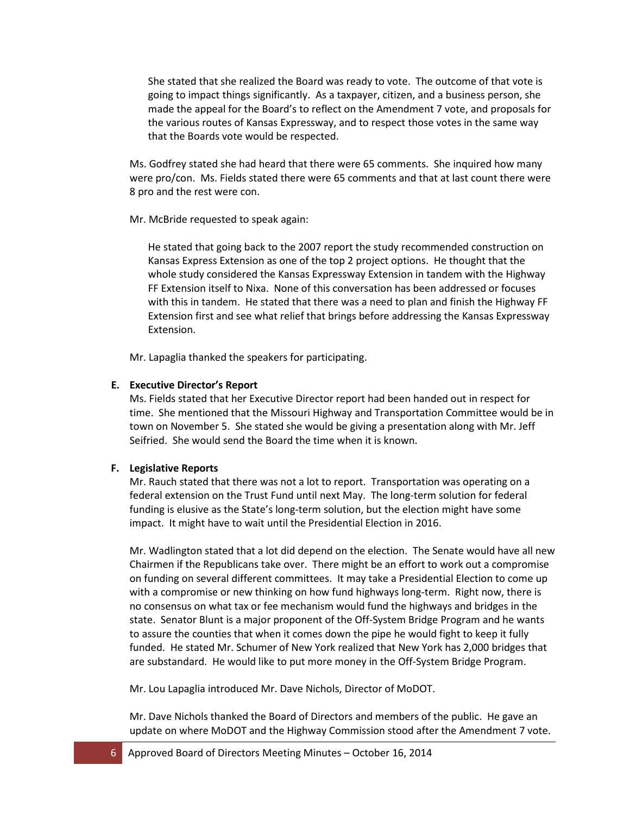She stated that she realized the Board was ready to vote. The outcome of that vote is going to impact things significantly. As a taxpayer, citizen, and a business person, she made the appeal for the Board's to reflect on the Amendment 7 vote, and proposals for the various routes of Kansas Expressway, and to respect those votes in the same way that the Boards vote would be respected.

Ms. Godfrey stated she had heard that there were 65 comments. She inquired how many were pro/con. Ms. Fields stated there were 65 comments and that at last count there were 8 pro and the rest were con.

Mr. McBride requested to speak again:

He stated that going back to the 2007 report the study recommended construction on Kansas Express Extension as one of the top 2 project options. He thought that the whole study considered the Kansas Expressway Extension in tandem with the Highway FF Extension itself to Nixa. None of this conversation has been addressed or focuses with this in tandem. He stated that there was a need to plan and finish the Highway FF Extension first and see what relief that brings before addressing the Kansas Expressway Extension.

Mr. Lapaglia thanked the speakers for participating.

#### **E. Executive Director's Report**

Ms. Fields stated that her Executive Director report had been handed out in respect for time. She mentioned that the Missouri Highway and Transportation Committee would be in town on November 5. She stated she would be giving a presentation along with Mr. Jeff Seifried. She would send the Board the time when it is known.

#### **F. Legislative Reports**

Mr. Rauch stated that there was not a lot to report. Transportation was operating on a federal extension on the Trust Fund until next May. The long-term solution for federal funding is elusive as the State's long-term solution, but the election might have some impact. It might have to wait until the Presidential Election in 2016.

Mr. Wadlington stated that a lot did depend on the election. The Senate would have all new Chairmen if the Republicans take over. There might be an effort to work out a compromise on funding on several different committees. It may take a Presidential Election to come up with a compromise or new thinking on how fund highways long-term. Right now, there is no consensus on what tax or fee mechanism would fund the highways and bridges in the state. Senator Blunt is a major proponent of the Off-System Bridge Program and he wants to assure the counties that when it comes down the pipe he would fight to keep it fully funded. He stated Mr. Schumer of New York realized that New York has 2,000 bridges that are substandard. He would like to put more money in the Off-System Bridge Program.

Mr. Lou Lapaglia introduced Mr. Dave Nichols, Director of MoDOT.

Mr. Dave Nichols thanked the Board of Directors and members of the public. He gave an update on where MoDOT and the Highway Commission stood after the Amendment 7 vote.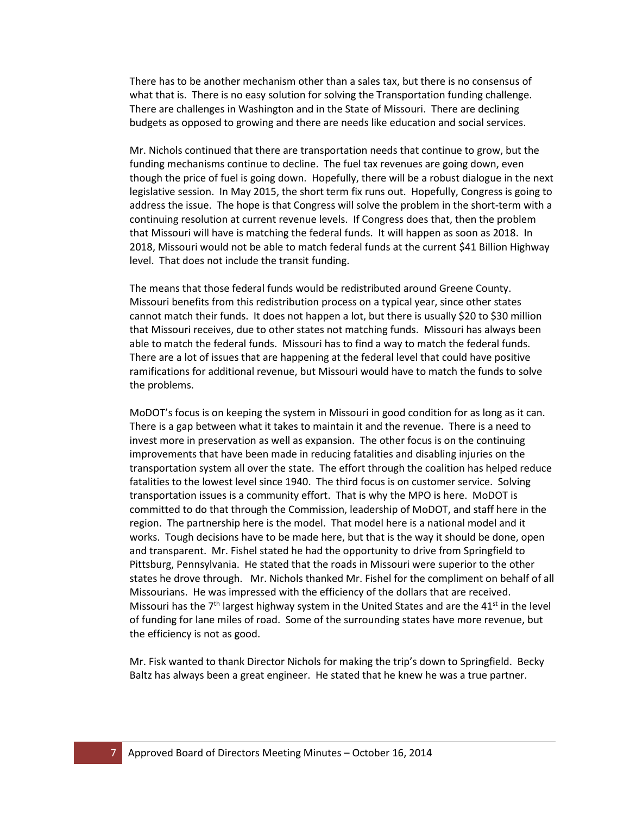There has to be another mechanism other than a sales tax, but there is no consensus of what that is. There is no easy solution for solving the Transportation funding challenge. There are challenges in Washington and in the State of Missouri. There are declining budgets as opposed to growing and there are needs like education and social services.

Mr. Nichols continued that there are transportation needs that continue to grow, but the funding mechanisms continue to decline. The fuel tax revenues are going down, even though the price of fuel is going down. Hopefully, there will be a robust dialogue in the next legislative session. In May 2015, the short term fix runs out. Hopefully, Congress is going to address the issue. The hope is that Congress will solve the problem in the short-term with a continuing resolution at current revenue levels. If Congress does that, then the problem that Missouri will have is matching the federal funds. It will happen as soon as 2018. In 2018, Missouri would not be able to match federal funds at the current \$41 Billion Highway level. That does not include the transit funding.

The means that those federal funds would be redistributed around Greene County. Missouri benefits from this redistribution process on a typical year, since other states cannot match their funds. It does not happen a lot, but there is usually \$20 to \$30 million that Missouri receives, due to other states not matching funds. Missouri has always been able to match the federal funds. Missouri has to find a way to match the federal funds. There are a lot of issues that are happening at the federal level that could have positive ramifications for additional revenue, but Missouri would have to match the funds to solve the problems.

MoDOT's focus is on keeping the system in Missouri in good condition for as long as it can. There is a gap between what it takes to maintain it and the revenue. There is a need to invest more in preservation as well as expansion. The other focus is on the continuing improvements that have been made in reducing fatalities and disabling injuries on the transportation system all over the state. The effort through the coalition has helped reduce fatalities to the lowest level since 1940. The third focus is on customer service. Solving transportation issues is a community effort. That is why the MPO is here. MoDOT is committed to do that through the Commission, leadership of MoDOT, and staff here in the region. The partnership here is the model. That model here is a national model and it works. Tough decisions have to be made here, but that is the way it should be done, open and transparent. Mr. Fishel stated he had the opportunity to drive from Springfield to Pittsburg, Pennsylvania. He stated that the roads in Missouri were superior to the other states he drove through. Mr. Nichols thanked Mr. Fishel for the compliment on behalf of all Missourians. He was impressed with the efficiency of the dollars that are received. Missouri has the  $7<sup>th</sup>$  largest highway system in the United States and are the 41 $st$  in the level of funding for lane miles of road. Some of the surrounding states have more revenue, but the efficiency is not as good.

Mr. Fisk wanted to thank Director Nichols for making the trip's down to Springfield. Becky Baltz has always been a great engineer. He stated that he knew he was a true partner.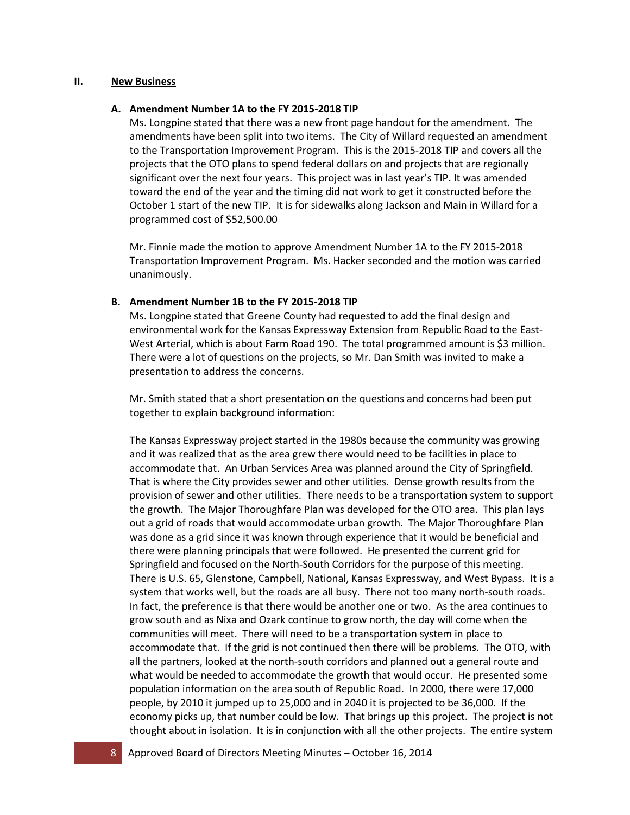#### **II. New Business**

#### **A. Amendment Number 1A to the FY 2015-2018 TIP**

Ms. Longpine stated that there was a new front page handout for the amendment. The amendments have been split into two items. The City of Willard requested an amendment to the Transportation Improvement Program. This is the 2015-2018 TIP and covers all the projects that the OTO plans to spend federal dollars on and projects that are regionally significant over the next four years. This project was in last year's TIP. It was amended toward the end of the year and the timing did not work to get it constructed before the October 1 start of the new TIP. It is for sidewalks along Jackson and Main in Willard for a programmed cost of \$52,500.00

Mr. Finnie made the motion to approve Amendment Number 1A to the FY 2015-2018 Transportation Improvement Program. Ms. Hacker seconded and the motion was carried unanimously.

### **B. Amendment Number 1B to the FY 2015-2018 TIP**

Ms. Longpine stated that Greene County had requested to add the final design and environmental work for the Kansas Expressway Extension from Republic Road to the East-West Arterial, which is about Farm Road 190. The total programmed amount is \$3 million. There were a lot of questions on the projects, so Mr. Dan Smith was invited to make a presentation to address the concerns.

Mr. Smith stated that a short presentation on the questions and concerns had been put together to explain background information:

The Kansas Expressway project started in the 1980s because the community was growing and it was realized that as the area grew there would need to be facilities in place to accommodate that. An Urban Services Area was planned around the City of Springfield. That is where the City provides sewer and other utilities. Dense growth results from the provision of sewer and other utilities. There needs to be a transportation system to support the growth. The Major Thoroughfare Plan was developed for the OTO area. This plan lays out a grid of roads that would accommodate urban growth. The Major Thoroughfare Plan was done as a grid since it was known through experience that it would be beneficial and there were planning principals that were followed. He presented the current grid for Springfield and focused on the North-South Corridors for the purpose of this meeting. There is U.S. 65, Glenstone, Campbell, National, Kansas Expressway, and West Bypass. It is a system that works well, but the roads are all busy. There not too many north-south roads. In fact, the preference is that there would be another one or two. As the area continues to grow south and as Nixa and Ozark continue to grow north, the day will come when the communities will meet. There will need to be a transportation system in place to accommodate that. If the grid is not continued then there will be problems. The OTO, with all the partners, looked at the north-south corridors and planned out a general route and what would be needed to accommodate the growth that would occur. He presented some population information on the area south of Republic Road. In 2000, there were 17,000 people, by 2010 it jumped up to 25,000 and in 2040 it is projected to be 36,000. If the economy picks up, that number could be low. That brings up this project. The project is not thought about in isolation. It is in conjunction with all the other projects. The entire system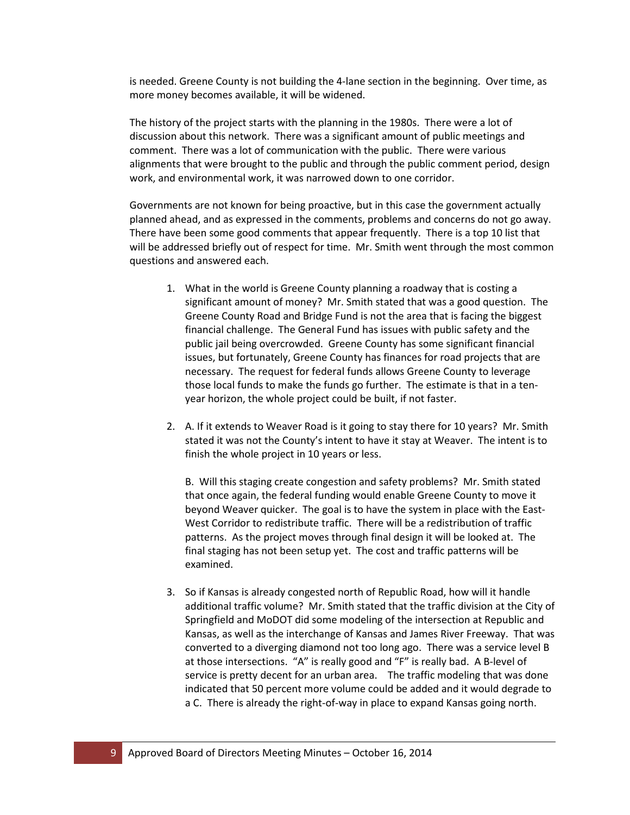is needed. Greene County is not building the 4-lane section in the beginning. Over time, as more money becomes available, it will be widened.

The history of the project starts with the planning in the 1980s. There were a lot of discussion about this network. There was a significant amount of public meetings and comment. There was a lot of communication with the public. There were various alignments that were brought to the public and through the public comment period, design work, and environmental work, it was narrowed down to one corridor.

Governments are not known for being proactive, but in this case the government actually planned ahead, and as expressed in the comments, problems and concerns do not go away. There have been some good comments that appear frequently. There is a top 10 list that will be addressed briefly out of respect for time. Mr. Smith went through the most common questions and answered each.

- 1. What in the world is Greene County planning a roadway that is costing a significant amount of money? Mr. Smith stated that was a good question. The Greene County Road and Bridge Fund is not the area that is facing the biggest financial challenge. The General Fund has issues with public safety and the public jail being overcrowded. Greene County has some significant financial issues, but fortunately, Greene County has finances for road projects that are necessary. The request for federal funds allows Greene County to leverage those local funds to make the funds go further. The estimate is that in a tenyear horizon, the whole project could be built, if not faster.
- 2. A. If it extends to Weaver Road is it going to stay there for 10 years? Mr. Smith stated it was not the County's intent to have it stay at Weaver. The intent is to finish the whole project in 10 years or less.

B. Will this staging create congestion and safety problems? Mr. Smith stated that once again, the federal funding would enable Greene County to move it beyond Weaver quicker. The goal is to have the system in place with the East-West Corridor to redistribute traffic. There will be a redistribution of traffic patterns. As the project moves through final design it will be looked at. The final staging has not been setup yet. The cost and traffic patterns will be examined.

3. So if Kansas is already congested north of Republic Road, how will it handle additional traffic volume? Mr. Smith stated that the traffic division at the City of Springfield and MoDOT did some modeling of the intersection at Republic and Kansas, as well as the interchange of Kansas and James River Freeway. That was converted to a diverging diamond not too long ago. There was a service level B at those intersections. "A" is really good and "F" is really bad. A B-level of service is pretty decent for an urban area.The traffic modeling that was done indicated that 50 percent more volume could be added and it would degrade to a C. There is already the right-of-way in place to expand Kansas going north.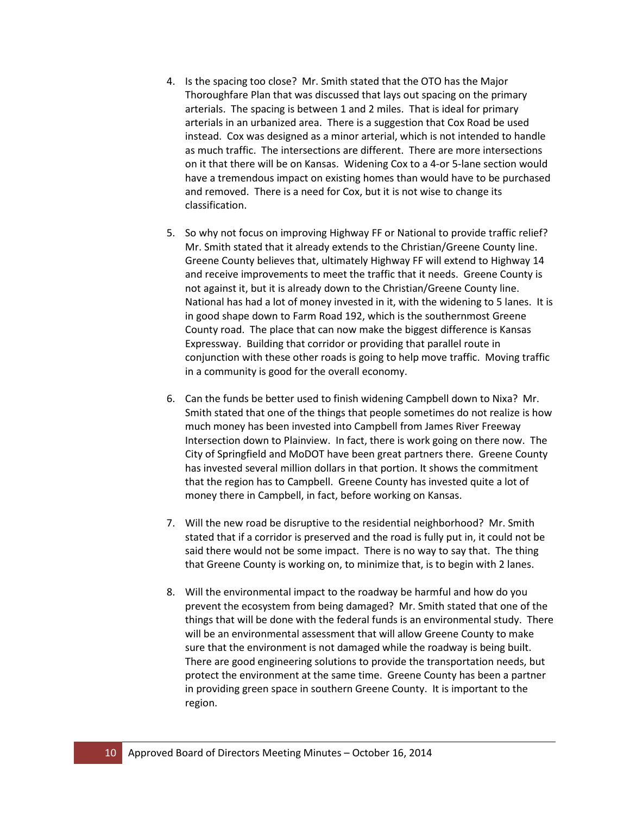- 4. Is the spacing too close? Mr. Smith stated that the OTO has the Major Thoroughfare Plan that was discussed that lays out spacing on the primary arterials. The spacing is between 1 and 2 miles. That is ideal for primary arterials in an urbanized area. There is a suggestion that Cox Road be used instead. Cox was designed as a minor arterial, which is not intended to handle as much traffic. The intersections are different. There are more intersections on it that there will be on Kansas. Widening Cox to a 4-or 5-lane section would have a tremendous impact on existing homes than would have to be purchased and removed. There is a need for Cox, but it is not wise to change its classification.
- 5. So why not focus on improving Highway FF or National to provide traffic relief? Mr. Smith stated that it already extends to the Christian/Greene County line. Greene County believes that, ultimately Highway FF will extend to Highway 14 and receive improvements to meet the traffic that it needs. Greene County is not against it, but it is already down to the Christian/Greene County line. National has had a lot of money invested in it, with the widening to 5 lanes. It is in good shape down to Farm Road 192, which is the southernmost Greene County road. The place that can now make the biggest difference is Kansas Expressway. Building that corridor or providing that parallel route in conjunction with these other roads is going to help move traffic. Moving traffic in a community is good for the overall economy.
- 6. Can the funds be better used to finish widening Campbell down to Nixa? Mr. Smith stated that one of the things that people sometimes do not realize is how much money has been invested into Campbell from James River Freeway Intersection down to Plainview. In fact, there is work going on there now. The City of Springfield and MoDOT have been great partners there. Greene County has invested several million dollars in that portion. It shows the commitment that the region has to Campbell. Greene County has invested quite a lot of money there in Campbell, in fact, before working on Kansas.
- 7. Will the new road be disruptive to the residential neighborhood? Mr. Smith stated that if a corridor is preserved and the road is fully put in, it could not be said there would not be some impact. There is no way to say that. The thing that Greene County is working on, to minimize that, is to begin with 2 lanes.
- 8. Will the environmental impact to the roadway be harmful and how do you prevent the ecosystem from being damaged? Mr. Smith stated that one of the things that will be done with the federal funds is an environmental study. There will be an environmental assessment that will allow Greene County to make sure that the environment is not damaged while the roadway is being built. There are good engineering solutions to provide the transportation needs, but protect the environment at the same time. Greene County has been a partner in providing green space in southern Greene County. It is important to the region.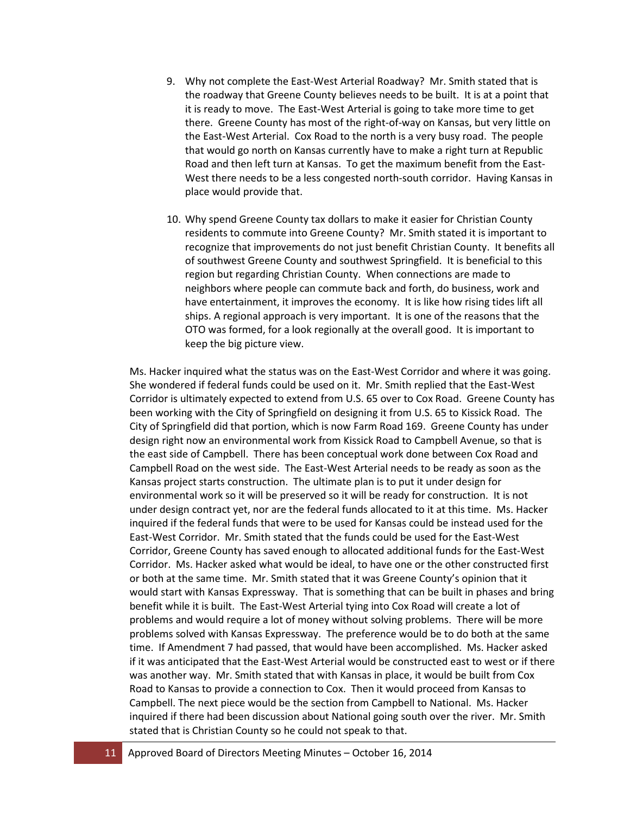- 9. Why not complete the East-West Arterial Roadway? Mr. Smith stated that is the roadway that Greene County believes needs to be built. It is at a point that it is ready to move. The East-West Arterial is going to take more time to get there. Greene County has most of the right-of-way on Kansas, but very little on the East-West Arterial. Cox Road to the north is a very busy road. The people that would go north on Kansas currently have to make a right turn at Republic Road and then left turn at Kansas. To get the maximum benefit from the East-West there needs to be a less congested north-south corridor. Having Kansas in place would provide that.
- 10. Why spend Greene County tax dollars to make it easier for Christian County residents to commute into Greene County? Mr. Smith stated it is important to recognize that improvements do not just benefit Christian County. It benefits all of southwest Greene County and southwest Springfield. It is beneficial to this region but regarding Christian County. When connections are made to neighbors where people can commute back and forth, do business, work and have entertainment, it improves the economy. It is like how rising tides lift all ships. A regional approach is very important. It is one of the reasons that the OTO was formed, for a look regionally at the overall good. It is important to keep the big picture view.

Ms. Hacker inquired what the status was on the East-West Corridor and where it was going. She wondered if federal funds could be used on it. Mr. Smith replied that the East-West Corridor is ultimately expected to extend from U.S. 65 over to Cox Road. Greene County has been working with the City of Springfield on designing it from U.S. 65 to Kissick Road. The City of Springfield did that portion, which is now Farm Road 169. Greene County has under design right now an environmental work from Kissick Road to Campbell Avenue, so that is the east side of Campbell. There has been conceptual work done between Cox Road and Campbell Road on the west side. The East-West Arterial needs to be ready as soon as the Kansas project starts construction. The ultimate plan is to put it under design for environmental work so it will be preserved so it will be ready for construction. It is not under design contract yet, nor are the federal funds allocated to it at this time. Ms. Hacker inquired if the federal funds that were to be used for Kansas could be instead used for the East-West Corridor. Mr. Smith stated that the funds could be used for the East-West Corridor, Greene County has saved enough to allocated additional funds for the East-West Corridor. Ms. Hacker asked what would be ideal, to have one or the other constructed first or both at the same time. Mr. Smith stated that it was Greene County's opinion that it would start with Kansas Expressway. That is something that can be built in phases and bring benefit while it is built. The East-West Arterial tying into Cox Road will create a lot of problems and would require a lot of money without solving problems. There will be more problems solved with Kansas Expressway. The preference would be to do both at the same time. If Amendment 7 had passed, that would have been accomplished. Ms. Hacker asked if it was anticipated that the East-West Arterial would be constructed east to west or if there was another way. Mr. Smith stated that with Kansas in place, it would be built from Cox Road to Kansas to provide a connection to Cox. Then it would proceed from Kansas to Campbell. The next piece would be the section from Campbell to National. Ms. Hacker inquired if there had been discussion about National going south over the river. Mr. Smith stated that is Christian County so he could not speak to that.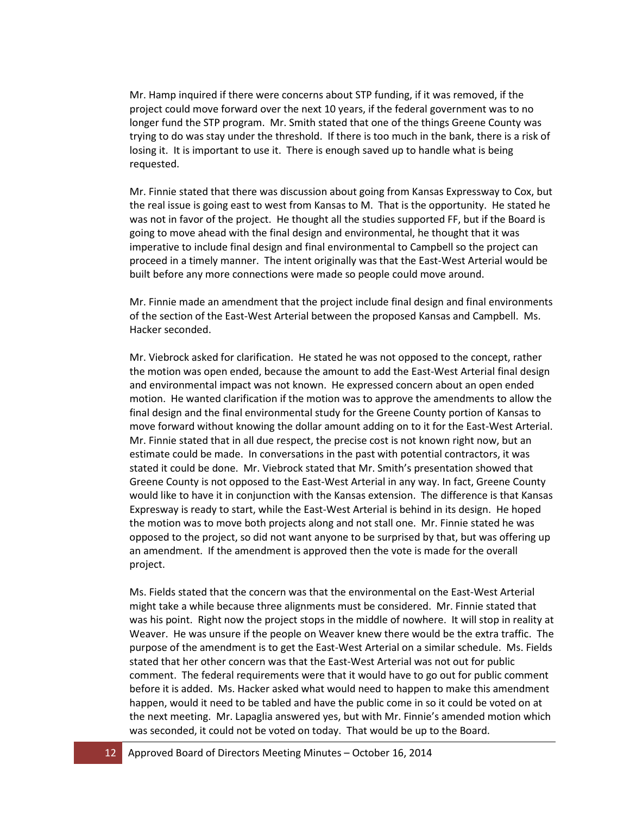Mr. Hamp inquired if there were concerns about STP funding, if it was removed, if the project could move forward over the next 10 years, if the federal government was to no longer fund the STP program. Mr. Smith stated that one of the things Greene County was trying to do was stay under the threshold. If there is too much in the bank, there is a risk of losing it. It is important to use it. There is enough saved up to handle what is being requested.

Mr. Finnie stated that there was discussion about going from Kansas Expressway to Cox, but the real issue is going east to west from Kansas to M. That is the opportunity. He stated he was not in favor of the project. He thought all the studies supported FF, but if the Board is going to move ahead with the final design and environmental, he thought that it was imperative to include final design and final environmental to Campbell so the project can proceed in a timely manner. The intent originally was that the East-West Arterial would be built before any more connections were made so people could move around.

Mr. Finnie made an amendment that the project include final design and final environments of the section of the East-West Arterial between the proposed Kansas and Campbell. Ms. Hacker seconded.

Mr. Viebrock asked for clarification. He stated he was not opposed to the concept, rather the motion was open ended, because the amount to add the East-West Arterial final design and environmental impact was not known. He expressed concern about an open ended motion. He wanted clarification if the motion was to approve the amendments to allow the final design and the final environmental study for the Greene County portion of Kansas to move forward without knowing the dollar amount adding on to it for the East-West Arterial. Mr. Finnie stated that in all due respect, the precise cost is not known right now, but an estimate could be made. In conversations in the past with potential contractors, it was stated it could be done. Mr. Viebrock stated that Mr. Smith's presentation showed that Greene County is not opposed to the East-West Arterial in any way. In fact, Greene County would like to have it in conjunction with the Kansas extension. The difference is that Kansas Expresway is ready to start, while the East-West Arterial is behind in its design. He hoped the motion was to move both projects along and not stall one. Mr. Finnie stated he was opposed to the project, so did not want anyone to be surprised by that, but was offering up an amendment. If the amendment is approved then the vote is made for the overall project.

Ms. Fields stated that the concern was that the environmental on the East-West Arterial might take a while because three alignments must be considered. Mr. Finnie stated that was his point. Right now the project stops in the middle of nowhere. It will stop in reality at Weaver. He was unsure if the people on Weaver knew there would be the extra traffic. The purpose of the amendment is to get the East-West Arterial on a similar schedule. Ms. Fields stated that her other concern was that the East-West Arterial was not out for public comment. The federal requirements were that it would have to go out for public comment before it is added. Ms. Hacker asked what would need to happen to make this amendment happen, would it need to be tabled and have the public come in so it could be voted on at the next meeting. Mr. Lapaglia answered yes, but with Mr. Finnie's amended motion which was seconded, it could not be voted on today. That would be up to the Board.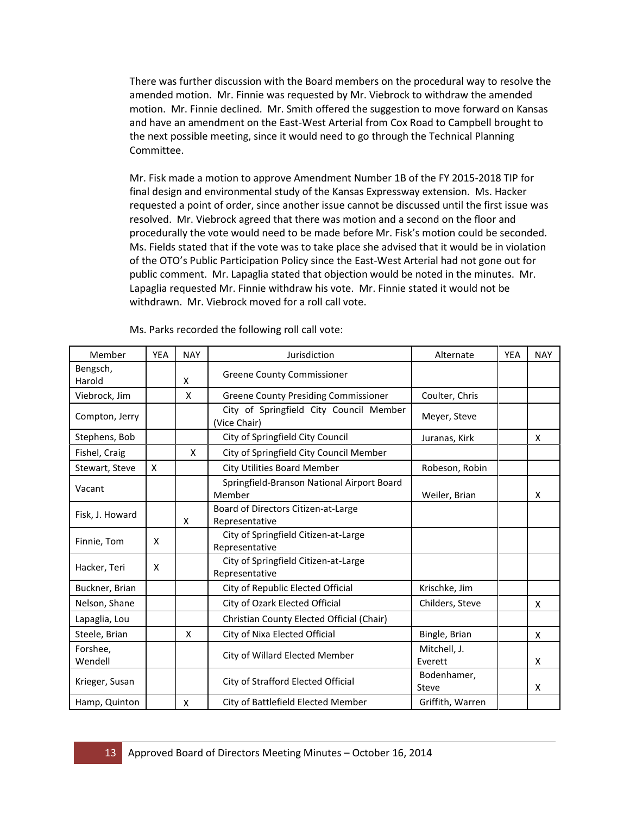There was further discussion with the Board members on the procedural way to resolve the amended motion. Mr. Finnie was requested by Mr. Viebrock to withdraw the amended motion. Mr. Finnie declined. Mr. Smith offered the suggestion to move forward on Kansas and have an amendment on the East-West Arterial from Cox Road to Campbell brought to the next possible meeting, since it would need to go through the Technical Planning Committee.

Mr. Fisk made a motion to approve Amendment Number 1B of the FY 2015-2018 TIP for final design and environmental study of the Kansas Expressway extension. Ms. Hacker requested a point of order, since another issue cannot be discussed until the first issue was resolved. Mr. Viebrock agreed that there was motion and a second on the floor and procedurally the vote would need to be made before Mr. Fisk's motion could be seconded. Ms. Fields stated that if the vote was to take place she advised that it would be in violation of the OTO's Public Participation Policy since the East-West Arterial had not gone out for public comment. Mr. Lapaglia stated that objection would be noted in the minutes. Mr. Lapaglia requested Mr. Finnie withdraw his vote. Mr. Finnie stated it would not be withdrawn. Mr. Viebrock moved for a roll call vote.

| Member              | <b>YEA</b> | <b>NAY</b> | Jurisdiction                                            | Alternate               | <b>YEA</b> | <b>NAY</b> |
|---------------------|------------|------------|---------------------------------------------------------|-------------------------|------------|------------|
| Bengsch,<br>Harold  |            | X          | <b>Greene County Commissioner</b>                       |                         |            |            |
| Viebrock, Jim       |            | X          | <b>Greene County Presiding Commissioner</b>             | Coulter, Chris          |            |            |
| Compton, Jerry      |            |            | City of Springfield City Council Member<br>(Vice Chair) | Meyer, Steve            |            |            |
| Stephens, Bob       |            |            | City of Springfield City Council                        | Juranas, Kirk           |            | X          |
| Fishel, Craig       |            | X          | City of Springfield City Council Member                 |                         |            |            |
| Stewart, Steve      | X          |            | <b>City Utilities Board Member</b>                      | Robeson, Robin          |            |            |
| Vacant              |            |            | Springfield-Branson National Airport Board<br>Member    | Weiler, Brian           |            | X          |
| Fisk, J. Howard     |            | X          | Board of Directors Citizen-at-Large<br>Representative   |                         |            |            |
| Finnie, Tom         | X          |            | City of Springfield Citizen-at-Large<br>Representative  |                         |            |            |
| Hacker, Teri        | X          |            | City of Springfield Citizen-at-Large<br>Representative  |                         |            |            |
| Buckner, Brian      |            |            | City of Republic Elected Official                       | Krischke, Jim           |            |            |
| Nelson, Shane       |            |            | City of Ozark Elected Official                          | Childers, Steve         |            | X          |
| Lapaglia, Lou       |            |            | Christian County Elected Official (Chair)               |                         |            |            |
| Steele, Brian       |            | X          | City of Nixa Elected Official                           | Bingle, Brian           |            | X          |
| Forshee,<br>Wendell |            |            | City of Willard Elected Member                          | Mitchell, J.<br>Everett |            | X          |
| Krieger, Susan      |            |            | City of Strafford Elected Official                      | Bodenhamer,<br>Steve    |            | X          |
| Hamp, Quinton       |            | X          | City of Battlefield Elected Member                      | Griffith, Warren        |            |            |

Ms. Parks recorded the following roll call vote: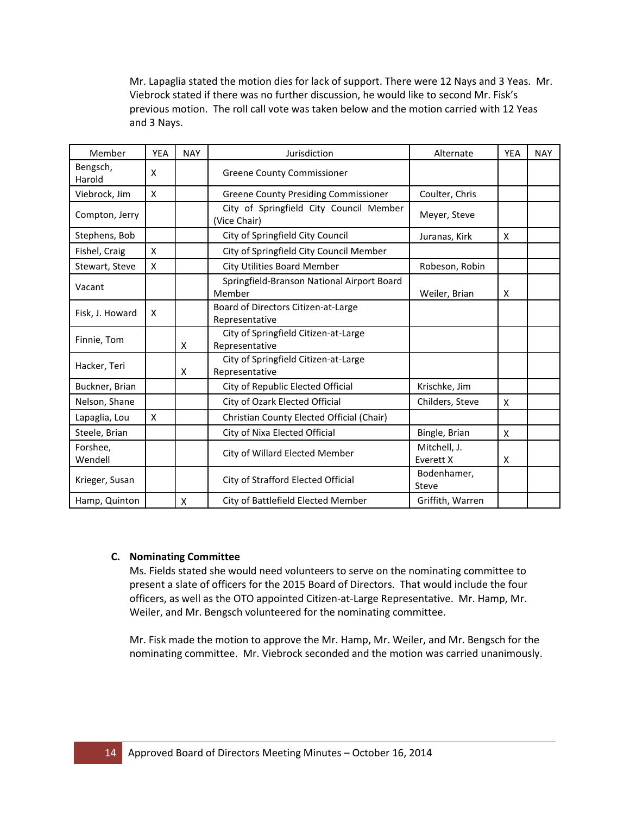Mr. Lapaglia stated the motion dies for lack of support. There were 12 Nays and 3 Yeas. Mr. Viebrock stated if there was no further discussion, he would like to second Mr. Fisk's previous motion. The roll call vote was taken below and the motion carried with 12 Yeas and 3 Nays.

| Member              | <b>YEA</b> | <b>NAY</b> | Jurisdiction                                            | Alternate                 | <b>YEA</b>                | <b>NAY</b> |
|---------------------|------------|------------|---------------------------------------------------------|---------------------------|---------------------------|------------|
| Bengsch,<br>Harold  | x          |            | <b>Greene County Commissioner</b>                       |                           |                           |            |
| Viebrock, Jim       | X          |            | <b>Greene County Presiding Commissioner</b>             | Coulter, Chris            |                           |            |
| Compton, Jerry      |            |            | City of Springfield City Council Member<br>(Vice Chair) | Meyer, Steve              |                           |            |
| Stephens, Bob       |            |            | City of Springfield City Council                        | Juranas, Kirk             | $\boldsymbol{\mathsf{X}}$ |            |
| Fishel, Craig       | X          |            | City of Springfield City Council Member                 |                           |                           |            |
| Stewart, Steve      | Χ          |            | <b>City Utilities Board Member</b>                      | Robeson, Robin            |                           |            |
| Vacant              |            |            | Springfield-Branson National Airport Board<br>Member    | Weiler, Brian             | X                         |            |
| Fisk, J. Howard     | X          |            | Board of Directors Citizen-at-Large<br>Representative   |                           |                           |            |
| Finnie, Tom         |            | X          | City of Springfield Citizen-at-Large<br>Representative  |                           |                           |            |
| Hacker, Teri        |            | X          | City of Springfield Citizen-at-Large<br>Representative  |                           |                           |            |
| Buckner, Brian      |            |            | City of Republic Elected Official                       | Krischke, Jim             |                           |            |
| Nelson, Shane       |            |            | City of Ozark Elected Official                          | Childers, Steve           | X                         |            |
| Lapaglia, Lou       | X          |            | Christian County Elected Official (Chair)               |                           |                           |            |
| Steele, Brian       |            |            | City of Nixa Elected Official                           | Bingle, Brian             | X                         |            |
| Forshee,<br>Wendell |            |            | City of Willard Elected Member                          | Mitchell, J.<br>Everett X | X                         |            |
| Krieger, Susan      |            |            | City of Strafford Elected Official                      | Bodenhamer,<br>Steve      |                           |            |
| Hamp, Quinton       |            | X          | City of Battlefield Elected Member                      | Griffith, Warren          |                           |            |

## **C. Nominating Committee**

Ms. Fields stated she would need volunteers to serve on the nominating committee to present a slate of officers for the 2015 Board of Directors. That would include the four officers, as well as the OTO appointed Citizen-at-Large Representative. Mr. Hamp, Mr. Weiler, and Mr. Bengsch volunteered for the nominating committee.

Mr. Fisk made the motion to approve the Mr. Hamp, Mr. Weiler, and Mr. Bengsch for the nominating committee. Mr. Viebrock seconded and the motion was carried unanimously.